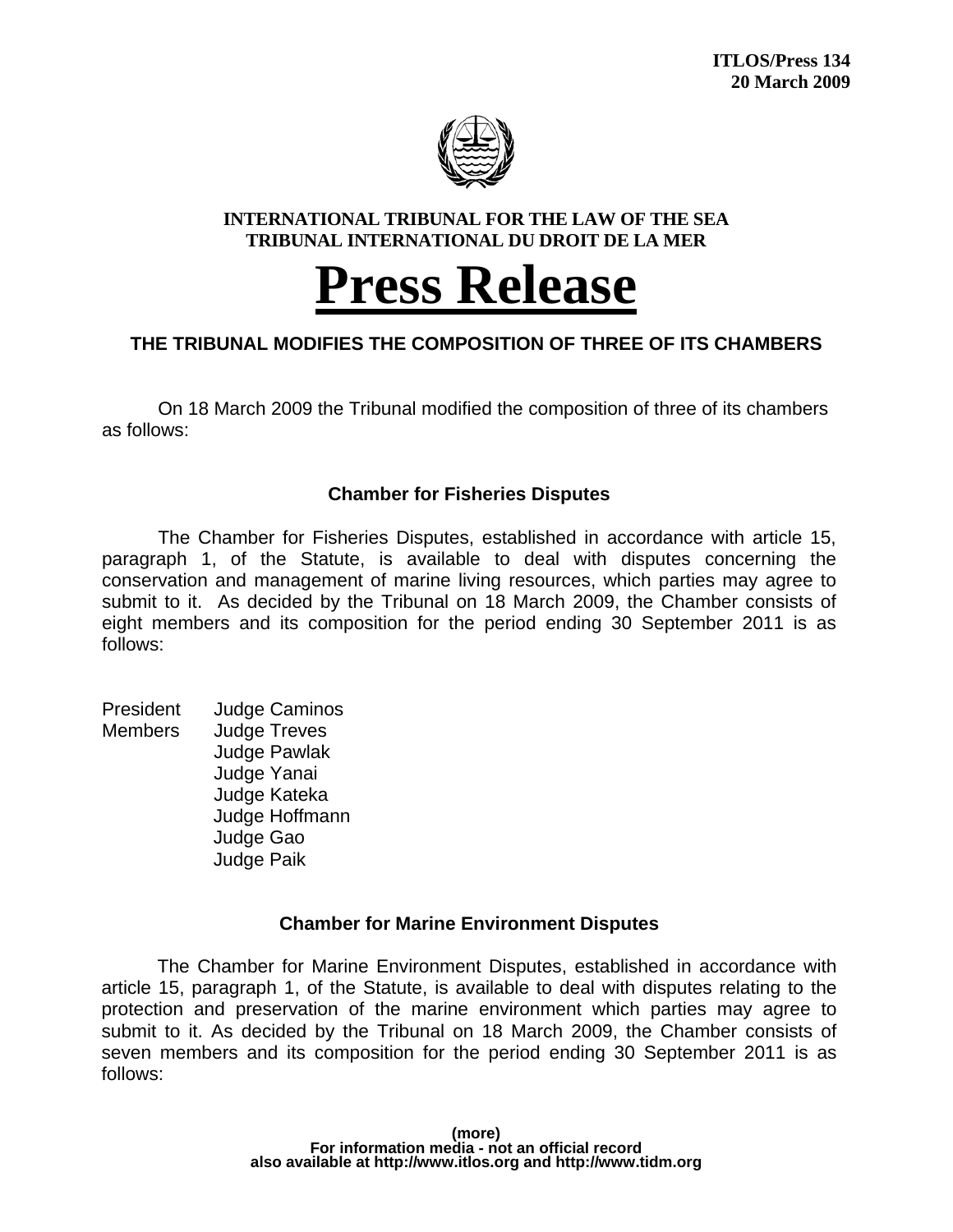

#### **INTERNATIONAL TRIBUNAL FOR THE LAW OF THE SEA TRIBUNAL INTERNATIONAL DU DROIT DE LA MER**

# **Press Release**

## **THE TRIBUNAL MODIFIES THE COMPOSITION OF THREE OF ITS CHAMBERS**

On 18 March 2009 the Tribunal modified the composition of three of its chambers as follows:

### **Chamber for Fisheries Disputes**

The Chamber for Fisheries Disputes, established in accordance with article 15, paragraph 1, of the Statute, is available to deal with disputes concerning the conservation and management of marine living resources, which parties may agree to submit to it. As decided by the Tribunal on 18 March 2009, the Chamber consists of eight members and its composition for the period ending 30 September 2011 is as follows:

President Judge Caminos Members Judge Treves Judge Pawlak Judge Yanai Judge Kateka Judge Hoffmann Judge Gao Judge Paik

#### **Chamber for Marine Environment Disputes**

 The Chamber for Marine Environment Disputes, established in accordance with article 15, paragraph 1, of the Statute, is available to deal with disputes relating to the protection and preservation of the marine environment which parties may agree to submit to it. As decided by the Tribunal on 18 March 2009, the Chamber consists of seven members and its composition for the period ending 30 September 2011 is as follows: